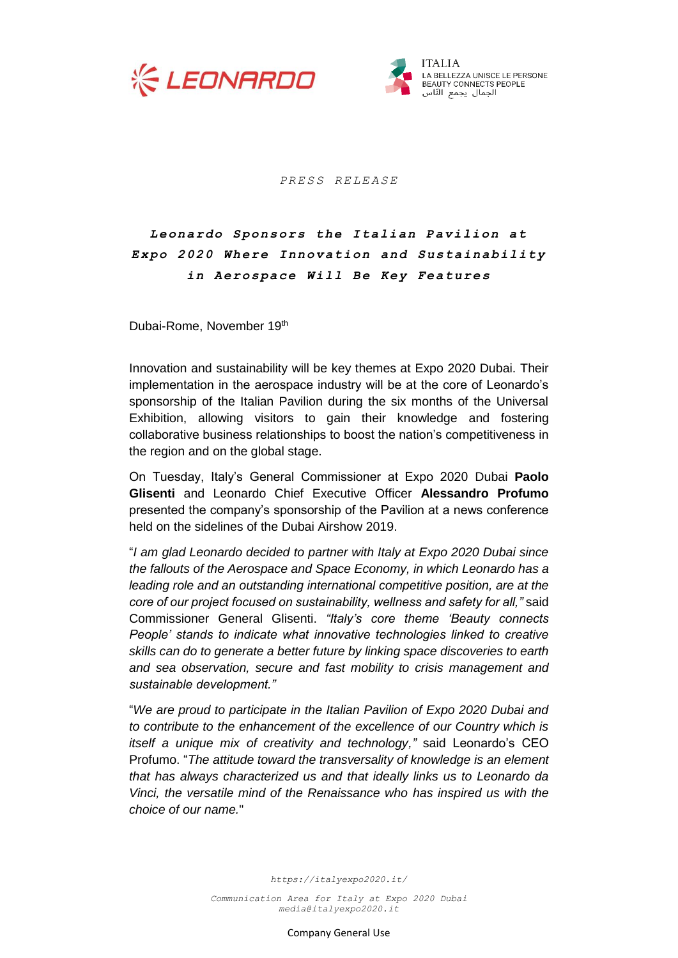



*P R E S S R E L E A S E*

## Leonardo Sponsors the Italian Pavilion at *Expo 2020 Where Innovation and Sustainability in Aerospace Will Be Key Features*

Dubai-Rome, November 19th

Innovation and sustainability will be key themes at Expo 2020 Dubai. Their implementation in the aerospace industry will be at the core of Leonardo's sponsorship of the Italian Pavilion during the six months of the Universal Exhibition, allowing visitors to gain their knowledge and fostering collaborative business relationships to boost the nation's competitiveness in the region and on the global stage.

On Tuesday, Italy's General Commissioner at Expo 2020 Dubai **Paolo Glisenti** and Leonardo Chief Executive Officer **Alessandro Profumo** presented the company's sponsorship of the Pavilion at a news conference held on the sidelines of the Dubai Airshow 2019.

"*I am glad Leonardo decided to partner with Italy at Expo 2020 Dubai since the fallouts of the Aerospace and Space Economy, in which Leonardo has a leading role and an outstanding international competitive position, are at the core of our project focused on sustainability, wellness and safety for all,"* said Commissioner General Glisenti. *"Italy's core theme 'Beauty connects People' stands to indicate what innovative technologies linked to creative skills can do to generate a better future by linking space discoveries to earth and sea observation, secure and fast mobility to crisis management and sustainable development."*

"*We are proud to participate in the Italian Pavilion of Expo 2020 Dubai and to contribute to the enhancement of the excellence of our Country which is itself a unique mix of creativity and technology,"* said Leonardo's CEO Profumo. "*The attitude toward the transversality of knowledge is an element that has always characterized us and that ideally links us to Leonardo da Vinci, the versatile mind of the Renaissance who has inspired us with the choice of our name.*"

*https://italyexpo2020.it/*

*Communication Area for Italy at Expo 2020 Dubai [media@italyexpo2020.it](mailto:media@italyexpo2020.it)*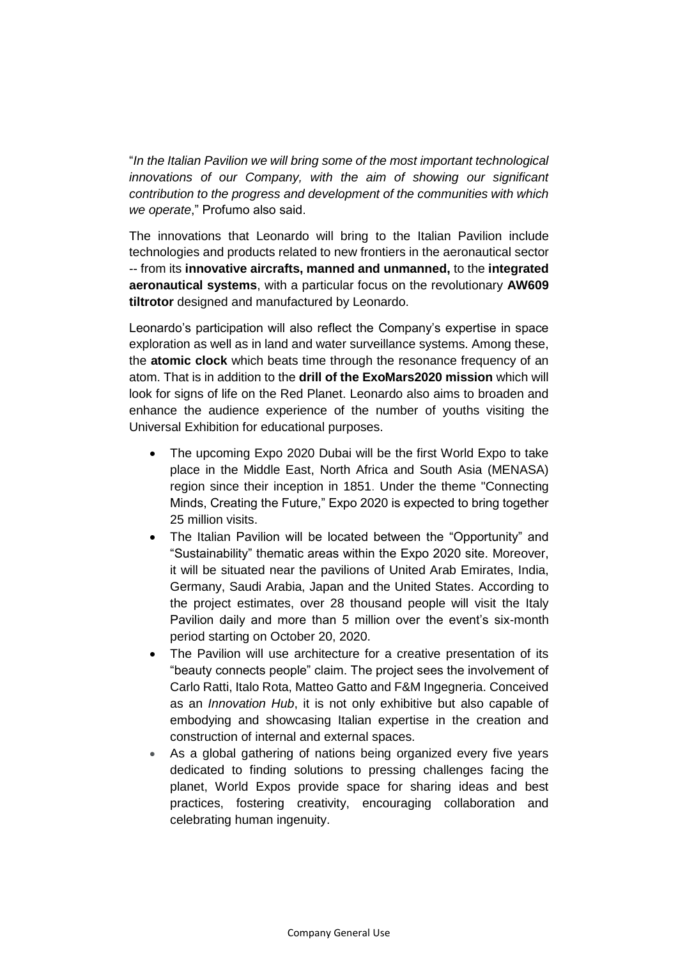"*In the Italian Pavilion we will bring some of the most important technological innovations of our Company, with the aim of showing our significant contribution to the progress and development of the communities with which we operate*," Profumo also said.

The innovations that Leonardo will bring to the Italian Pavilion include technologies and products related to new frontiers in the aeronautical sector -- from its **innovative aircrafts, manned and unmanned,** to the **integrated aeronautical systems**, with a particular focus on the revolutionary **AW609 tiltrotor** designed and manufactured by Leonardo.

Leonardo's participation will also reflect the Company's expertise in space exploration as well as in land and water surveillance systems. Among these, the **atomic clock** which beats time through the resonance frequency of an atom. That is in addition to the **drill of the ExoMars2020 mission** which will look for signs of life on the Red Planet. Leonardo also aims to broaden and enhance the audience experience of the number of youths visiting the Universal Exhibition for educational purposes.

- The upcoming Expo 2020 Dubai will be the first World Expo to take place in the Middle East, North Africa and South Asia (MENASA) region since their inception in 1851. Under the theme "Connecting Minds, Creating the Future," Expo 2020 is expected to bring together 25 million visits.
- The Italian Pavilion will be located between the "Opportunity" and "Sustainability" thematic areas within the Expo 2020 site. Moreover, it will be situated near the pavilions of United Arab Emirates, India, Germany, Saudi Arabia, Japan and the United States. According to the project estimates, over 28 thousand people will visit the Italy Pavilion daily and more than 5 million over the event's six-month period starting on October 20, 2020.
- The Pavilion will use architecture for a creative presentation of its "beauty connects people" claim. The project sees the involvement of Carlo Ratti, Italo Rota, Matteo Gatto and F&M Ingegneria. Conceived as an *Innovation Hub*, it is not only exhibitive but also capable of embodying and showcasing Italian expertise in the creation and construction of internal and external spaces.
- As a global gathering of nations being organized every five years dedicated to finding solutions to pressing challenges facing the planet, World Expos provide space for sharing ideas and best practices, fostering creativity, encouraging collaboration and celebrating human ingenuity.